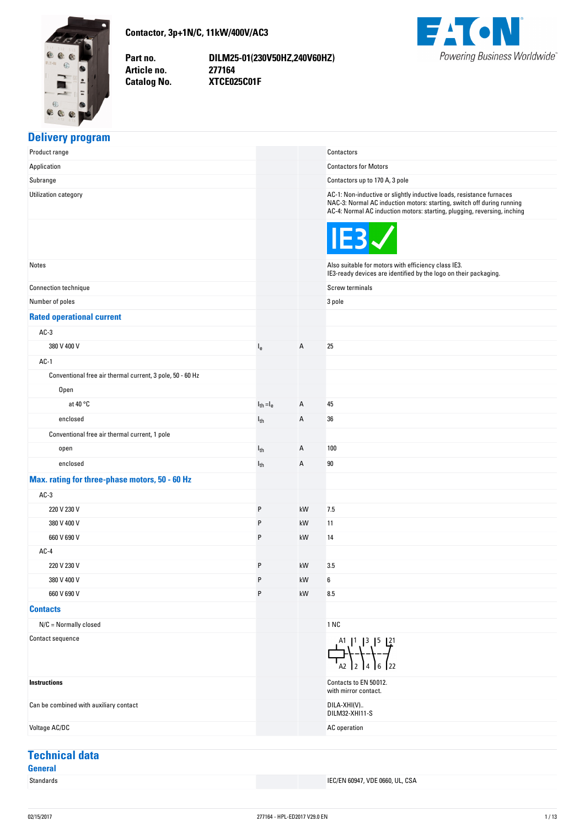<span id="page-0-0"></span>

**Contactor,-3p+1N/C,-11kW/400V/AC3**

Part no. **Article no. Catalog No.** 

**no. DILM25-01(230V50HZ,240V60HZ) no. 277164 No. XTCE025C01F**



#### **Delivery-program**

| Product range                                             |                |    | Contactors                                                                                                                                                                                                                 |
|-----------------------------------------------------------|----------------|----|----------------------------------------------------------------------------------------------------------------------------------------------------------------------------------------------------------------------------|
| Application                                               |                |    | <b>Contactors for Motors</b>                                                                                                                                                                                               |
| Subrange                                                  |                |    | Contactors up to 170 A, 3 pole                                                                                                                                                                                             |
| Utilization category                                      |                |    | AC-1: Non-inductive or slightly inductive loads, resistance furnaces<br>NAC-3: Normal AC induction motors: starting, switch off during running<br>AC-4: Normal AC induction motors: starting, plugging, reversing, inching |
|                                                           |                |    | IE3                                                                                                                                                                                                                        |
| Notes                                                     |                |    | Also suitable for motors with efficiency class IE3.<br>IE3-ready devices are identified by the logo on their packaging.                                                                                                    |
| Connection technique                                      |                |    | Screw terminals                                                                                                                                                                                                            |
| Number of poles                                           |                |    | 3 pole                                                                                                                                                                                                                     |
| <b>Rated operational current</b>                          |                |    |                                                                                                                                                                                                                            |
| $AC-3$                                                    |                |    |                                                                                                                                                                                                                            |
| 380 V 400 V                                               | $I_{e}$        | Α  | 25                                                                                                                                                                                                                         |
| $AC-1$                                                    |                |    |                                                                                                                                                                                                                            |
| Conventional free air thermal current, 3 pole, 50 - 60 Hz |                |    |                                                                                                                                                                                                                            |
| Open                                                      |                |    |                                                                                                                                                                                                                            |
| at 40 $\degree$ C                                         | $I_{th} = I_e$ | Α  | 45                                                                                                                                                                                                                         |
| enclosed                                                  | $I_{th}$       | Α  | 36                                                                                                                                                                                                                         |
| Conventional free air thermal current, 1 pole             |                |    |                                                                                                                                                                                                                            |
| open                                                      | $I_{th}$       | Α  | 100                                                                                                                                                                                                                        |
| enclosed                                                  | $I_{th}$       | Α  | 90                                                                                                                                                                                                                         |
| Max. rating for three-phase motors, 50 - 60 Hz            |                |    |                                                                                                                                                                                                                            |
| $AC-3$                                                    |                |    |                                                                                                                                                                                                                            |
| 220 V 230 V                                               | P              | kW | 7.5                                                                                                                                                                                                                        |
| 380 V 400 V                                               | P              | kW | 11                                                                                                                                                                                                                         |
| 660 V 690 V                                               | P              | kW | 14                                                                                                                                                                                                                         |
| $AC-4$                                                    |                |    |                                                                                                                                                                                                                            |
| 220 V 230 V                                               | P              | kW | 3.5                                                                                                                                                                                                                        |
| 380 V 400 V                                               | P              | kW | 6                                                                                                                                                                                                                          |
| 660 V 690 V                                               | P              | kW | 8.5                                                                                                                                                                                                                        |
| <b>Contacts</b>                                           |                |    |                                                                                                                                                                                                                            |
| $N/C =$ Normally closed                                   |                |    | 1 NC                                                                                                                                                                                                                       |
| Contact sequence                                          |                |    | $\begin{array}{c} 41 \\ -1 \end{array}$                                                                                                                                                                                    |
| <b>Instructions</b>                                       |                |    | Contacts to EN 50012.<br>with mirror contact.                                                                                                                                                                              |
| Can be combined with auxiliary contact                    |                |    | DILA-XHI(V)<br>DILM32-XHI11-S                                                                                                                                                                                              |
| Voltage AC/DC                                             |                |    | AC operation                                                                                                                                                                                                               |

# **Technical-data**

**General**

**IEC/EN 60947, VDE 0660, UL, CSA**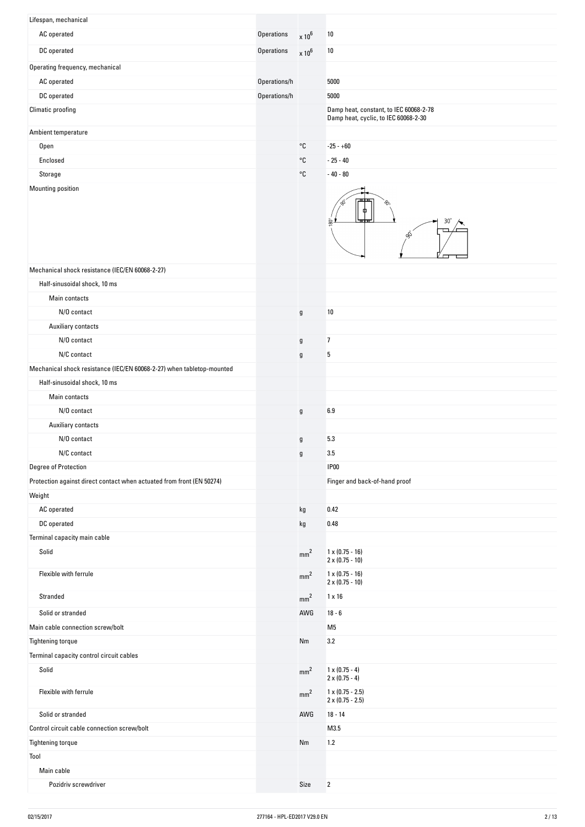| Lifespan, mechanical                                                        |              |                                              |                                                                                |
|-----------------------------------------------------------------------------|--------------|----------------------------------------------|--------------------------------------------------------------------------------|
| AC operated                                                                 | Operations   | $\times 10^6$                                | 10                                                                             |
| DC operated                                                                 | Operations   | $\times 10^6$                                | 10                                                                             |
| Operating frequency, mechanical                                             |              |                                              |                                                                                |
| AC operated                                                                 | Operations/h |                                              | 5000                                                                           |
| DC operated                                                                 | Operations/h |                                              | 5000                                                                           |
| Climatic proofing                                                           |              |                                              | Damp heat, constant, to IEC 60068-2-78<br>Damp heat, cyclic, to IEC 60068-2-30 |
| Ambient temperature                                                         |              |                                              |                                                                                |
| <b>Open</b>                                                                 |              | °C                                           | $-25 - +60$                                                                    |
| Enclosed                                                                    |              | °C                                           | $-25 - 40$                                                                     |
| Storage                                                                     |              | $^{\circ}{\rm C}$                            | $-40 - 80$                                                                     |
| <b>Mounting position</b><br>Mechanical shock resistance (IEC/EN 60068-2-27) |              |                                              | ≖<br>ego<br>℅                                                                  |
| Half-sinusoidal shock, 10 ms                                                |              |                                              |                                                                                |
| Main contacts                                                               |              |                                              |                                                                                |
| N/O contact                                                                 |              |                                              | 10                                                                             |
| Auxiliary contacts                                                          |              | $\mathfrak g$                                |                                                                                |
| N/O contact                                                                 |              |                                              | $\overline{1}$                                                                 |
| N/C contact                                                                 |              | $\mathfrak g$<br>$\boldsymbol{\mathfrak{g}}$ | $\mathbf 5$                                                                    |
| Mechanical shock resistance (IEC/EN 60068-2-27) when tabletop-mounted       |              |                                              |                                                                                |
| Half-sinusoidal shock, 10 ms                                                |              |                                              |                                                                                |
| Main contacts                                                               |              |                                              |                                                                                |
| N/O contact                                                                 |              | $\mathfrak g$                                | 6.9                                                                            |
| Auxiliary contacts                                                          |              |                                              |                                                                                |
| N/O contact                                                                 |              | $\mathfrak g$                                | 5.3                                                                            |
| N/C contact                                                                 |              | g                                            | 3.5                                                                            |
| Degree of Protection                                                        |              |                                              | IP <sub>00</sub>                                                               |
| Protection against direct contact when actuated from front (EN 50274)       |              |                                              | Finger and back-of-hand proof                                                  |
| Weight                                                                      |              |                                              |                                                                                |
| AC operated                                                                 |              | kg                                           | 0.42                                                                           |
| DC operated                                                                 |              | kg                                           | 0.48                                                                           |
| Terminal capacity main cable                                                |              |                                              |                                                                                |
| Solid                                                                       |              | mm <sup>2</sup>                              | $1 \times (0.75 - 16)$<br>$2 \times (0.75 - 10)$                               |
| Flexible with ferrule                                                       |              | mm <sup>2</sup>                              | $1 \times (0.75 - 16)$<br>$2 \times (0.75 - 10)$                               |
| Stranded                                                                    |              | mm <sup>2</sup>                              | $1 \times 16$                                                                  |
| Solid or stranded                                                           |              | AWG                                          | $18 - 6$                                                                       |
| Main cable connection screw/bolt                                            |              |                                              | M <sub>5</sub>                                                                 |
| <b>Tightening torque</b>                                                    |              | Nm                                           | 3.2                                                                            |
| Terminal capacity control circuit cables                                    |              |                                              |                                                                                |
| Solid                                                                       |              | mm <sup>2</sup>                              | $1 \times (0.75 - 4)$<br>$2 \times (0.75 - 4)$                                 |
| Flexible with ferrule                                                       |              | mm <sup>2</sup>                              | $1 \times (0.75 - 2.5)$<br>$2 \times (0.75 - 2.5)$                             |
| Solid or stranded                                                           |              | AWG                                          | $18 - 14$                                                                      |
| Control circuit cable connection screw/bolt                                 |              |                                              | M3.5                                                                           |
| Tightening torque                                                           |              | Nm                                           | 1.2                                                                            |
| Tool<br>Main cable                                                          |              |                                              |                                                                                |
| Pozidriv screwdriver                                                        |              | Size                                         | $\overline{2}$                                                                 |
|                                                                             |              |                                              |                                                                                |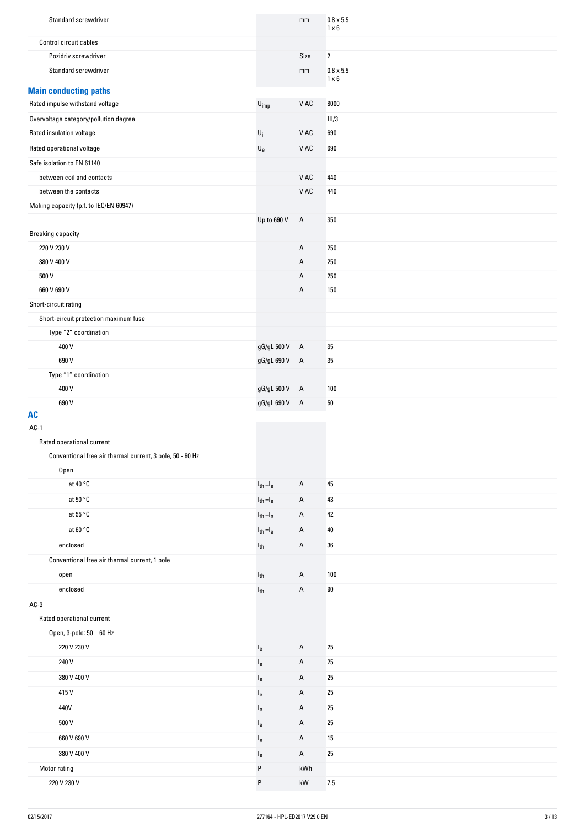| Standard screwdriver                                            |                                                        | mm                     | $0.8 \times 5.5$<br>$1 \times 6$ |
|-----------------------------------------------------------------|--------------------------------------------------------|------------------------|----------------------------------|
| Control circuit cables                                          |                                                        |                        |                                  |
| Pozidriv screwdriver                                            |                                                        | Size                   | $\overline{2}$                   |
| Standard screwdriver                                            |                                                        | mm                     | $0.8 \times 5.5$                 |
|                                                                 |                                                        |                        | $1 \times 6$                     |
| <b>Main conducting paths</b><br>Rated impulse withstand voltage | $\mathsf{U}_{\mathsf{imp}}$                            | V AC                   | 8000                             |
| Overvoltage category/pollution degree                           |                                                        |                        | III/3                            |
| Rated insulation voltage                                        | $\mathsf{U}_i$                                         | V AC                   | 690                              |
| Rated operational voltage                                       | $\mathsf{U}_{\mathsf{e}}$                              | V AC                   | 690                              |
| Safe isolation to EN 61140                                      |                                                        |                        |                                  |
| between coil and contacts                                       |                                                        | V AC                   | 440                              |
| between the contacts                                            |                                                        | V AC                   | 440                              |
| Making capacity (p.f. to IEC/EN 60947)                          |                                                        |                        |                                  |
|                                                                 | Up to 690 V                                            | А                      | 350                              |
| <b>Breaking capacity</b>                                        |                                                        |                        |                                  |
| 220 V 230 V                                                     |                                                        | Α                      | 250                              |
| 380 V 400 V                                                     |                                                        | Α                      | 250                              |
| 500 V                                                           |                                                        | Α                      | 250                              |
| 660 V 690 V                                                     |                                                        | А                      | 150                              |
| Short-circuit rating                                            |                                                        |                        |                                  |
| Short-circuit protection maximum fuse                           |                                                        |                        |                                  |
| Type "2" coordination                                           |                                                        |                        |                                  |
| 400 V                                                           | gG/gL 500 V                                            | $\overline{A}$         | 35                               |
| 690 V                                                           | gG/gL 690 V                                            | $\overline{A}$         | 35                               |
| Type "1" coordination                                           |                                                        |                        |                                  |
| 400 V                                                           | gG/gL 500 V                                            | $\overline{A}$         | 100                              |
| 690 V                                                           | gG/gL 690 V A                                          |                        | $50\,$                           |
| <b>AC</b><br>$AC-1$                                             |                                                        |                        |                                  |
| Rated operational current                                       |                                                        |                        |                                  |
| Conventional free air thermal current, 3 pole, 50 - 60 Hz       |                                                        |                        |                                  |
| Open                                                            |                                                        |                        |                                  |
| at 40 °C                                                        | $\mathsf{I}_{\mathsf{th}}\!=\!\mathsf{I}_{\mathsf{e}}$ | Α                      | 45                               |
| at 50 °C                                                        | $I_{th} = I_e$                                         | А                      | 43                               |
| at 55 °C                                                        | $I_{th} = I_e$                                         | Α                      | 42                               |
| at 60 $^{\circ}$ C                                              | $I_{th} = I_e$                                         | Α                      | 40                               |
| enclosed                                                        | $\mathsf{l}_{\mathsf{th}}$                             | А                      | 36                               |
| Conventional free air thermal current, 1 pole                   |                                                        |                        |                                  |
| open                                                            | $I_{th}$                                               | Α                      | 100                              |
| enclosed                                                        | $\mathsf{l}_{\mathsf{th}}$                             | Α                      | $90\,$                           |
| $AC-3$                                                          |                                                        |                        |                                  |
| Rated operational current                                       |                                                        |                        |                                  |
| Open, 3-pole: 50 - 60 Hz                                        |                                                        |                        |                                  |
| 220 V 230 V                                                     | $I_e$                                                  | Α                      | 25                               |
| 240 V                                                           | $I_e$                                                  | Α                      | 25                               |
| 380 V 400 V                                                     | $I_e$                                                  | Α                      | 25                               |
| 415V                                                            | $I_e$                                                  | Α                      | 25                               |
| 440V                                                            | $I_{e}$                                                | Α                      | 25                               |
| 500 V                                                           | $I_{e}$                                                | Α                      | 25                               |
| 660 V 690 V                                                     | $I_{e}$                                                | Α                      | 15                               |
| 380 V 400 V                                                     |                                                        | А                      | 25                               |
| Motor rating                                                    | $I_e$<br>P                                             | kWh                    |                                  |
| 220 V 230 V                                                     | P                                                      | $\mathsf{k}\mathsf{W}$ | $7.5\,$                          |
|                                                                 |                                                        |                        |                                  |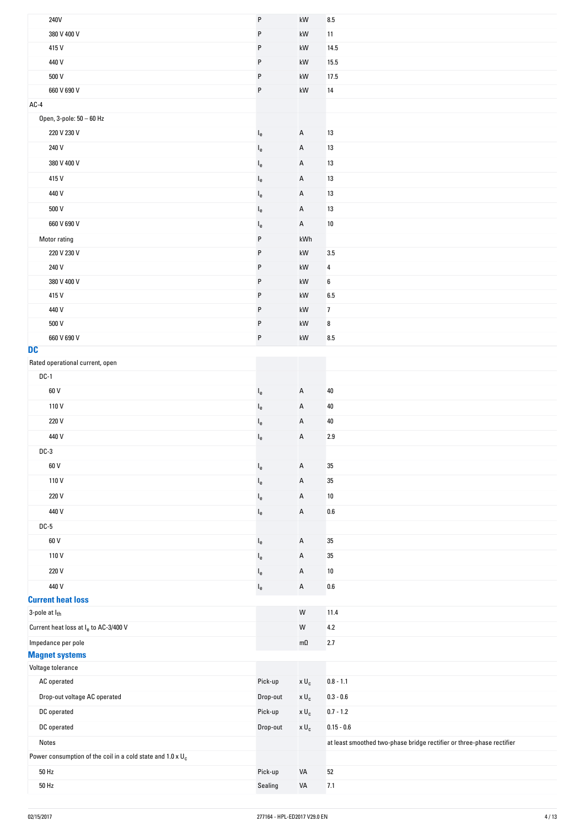| 240V                                                               | $\mathsf{P}$              | $\mathsf{k}\mathsf{W}$ | $\bf 8.5$                                                             |
|--------------------------------------------------------------------|---------------------------|------------------------|-----------------------------------------------------------------------|
| 380 V 400 V                                                        | P                         | kW                     | 11                                                                    |
| 415V                                                               | P                         | kW                     | 14.5                                                                  |
| 440 V                                                              | $\sf P$                   | kW                     | 15.5                                                                  |
| 500 V                                                              | P                         | kW                     | 17.5                                                                  |
| 660 V 690 V                                                        | P                         | kW                     | 14                                                                    |
| $AC-4$                                                             |                           |                        |                                                                       |
| Open, 3-pole: 50 - 60 Hz                                           |                           |                        |                                                                       |
| 220 V 230 V                                                        | $\mathsf{I}_{\mathsf{e}}$ | Α                      | 13                                                                    |
| 240 V                                                              | $\mathsf{I}_{\mathsf{e}}$ | A                      | 13                                                                    |
| 380 V 400 V                                                        | $I_e$                     | A                      | 13                                                                    |
| 415V                                                               | $\mathsf{I}_{\mathsf{e}}$ | Α                      | $13\,$                                                                |
| 440 V                                                              |                           | A                      | 13                                                                    |
|                                                                    | $I_e$                     |                        |                                                                       |
| 500 V                                                              | $I_e$                     | A                      | 13                                                                    |
| 660 V 690 V                                                        | $\mathsf{I}_{\mathsf{e}}$ | $\mathsf{A}$           | $10\,$                                                                |
| Motor rating                                                       | $\sf P$                   | kWh                    |                                                                       |
| 220 V 230 V                                                        | $\sf P$                   | kW                     | $3.5\,$                                                               |
| 240 V                                                              | P                         | kW                     | 4                                                                     |
| 380 V 400 V                                                        | P                         | kW                     | 6                                                                     |
| 415V                                                               | P                         | $\mathsf{k}\mathsf{W}$ | 6.5                                                                   |
| 440 V                                                              | $\sf P$                   | kW                     | $\overline{7}$                                                        |
| 500 V                                                              | $\sf P$                   | kW                     | 8                                                                     |
| 660 V 690 V                                                        | $\sf P$                   | kW                     | 8.5                                                                   |
| <b>DC</b>                                                          |                           |                        |                                                                       |
| Rated operational current, open                                    |                           |                        |                                                                       |
| $DC-1$                                                             |                           |                        |                                                                       |
| 60 V                                                               | $\mathsf{I}_{\mathsf{e}}$ | Α                      | 40                                                                    |
| 110V                                                               | $\mathsf{I}_{\mathrm{e}}$ | A                      | 40                                                                    |
| 220 V                                                              | $\mathsf{I}_{\mathsf{e}}$ | Α                      | 40                                                                    |
| 440 V                                                              | $\mathsf{I}_{\mathsf{e}}$ | Α                      | 2.9                                                                   |
| $DC-3$                                                             |                           |                        |                                                                       |
| 60 V                                                               | $\mathsf{I}_{\mathsf{e}}$ | A                      | $35\,$                                                                |
| 110V                                                               | $I_e$                     | A                      | $35\,$                                                                |
| 220 V                                                              | $I_e$                     | Α                      | $10\,$                                                                |
| 440 V                                                              | $\mathsf{I}_{\mathsf{e}}$ | A                      | $0.6\,$                                                               |
| $DC-5$                                                             |                           |                        |                                                                       |
| 60 V                                                               | $I_e$                     | Α                      | $35\,$                                                                |
| 110V                                                               | $\mathsf{I}_{\mathsf{e}}$ | A                      | $35\,$                                                                |
| 220 V                                                              |                           |                        |                                                                       |
|                                                                    | $\mathsf{I}_{\mathsf{e}}$ | A                      | $10\,$                                                                |
| 440 V<br><b>Current heat loss</b>                                  | $I_e$                     | A                      | $0.6\,$                                                               |
| 3-pole at lth                                                      |                           | ${\sf W}$              | 11.4                                                                  |
|                                                                    |                           |                        |                                                                       |
| Current heat loss at l <sub>e</sub> to AC-3/400 V                  |                           | ${\sf W}$              | $4.2\,$                                                               |
| Impedance per pole<br><b>Magnet systems</b>                        |                           | $m\Omega$              | 2.7                                                                   |
| Voltage tolerance                                                  |                           |                        |                                                                       |
| AC operated                                                        | Pick-up                   | $\times$ $\sf{U}_c$    | $0.8 - 1.1$                                                           |
| Drop-out voltage AC operated                                       | Drop-out                  | $\times$ $\sf{U}_c$    | $0.3 - 0.6$                                                           |
|                                                                    |                           |                        |                                                                       |
| DC operated                                                        | Pick-up                   | $x U_c$                | $0.7 - 1.2$                                                           |
| DC operated                                                        | Drop-out                  | $x U_c$                | $0.15 - 0.6$                                                          |
| Notes                                                              |                           |                        | at least smoothed two-phase bridge rectifier or three-phase rectifier |
| Power consumption of the coil in a cold state and $1.0 \times U_c$ |                           |                        |                                                                       |
| $50$ Hz                                                            | Pick-up                   | VA                     | $52\,$                                                                |
| $50$ Hz                                                            | Sealing                   | VA                     | 7.1                                                                   |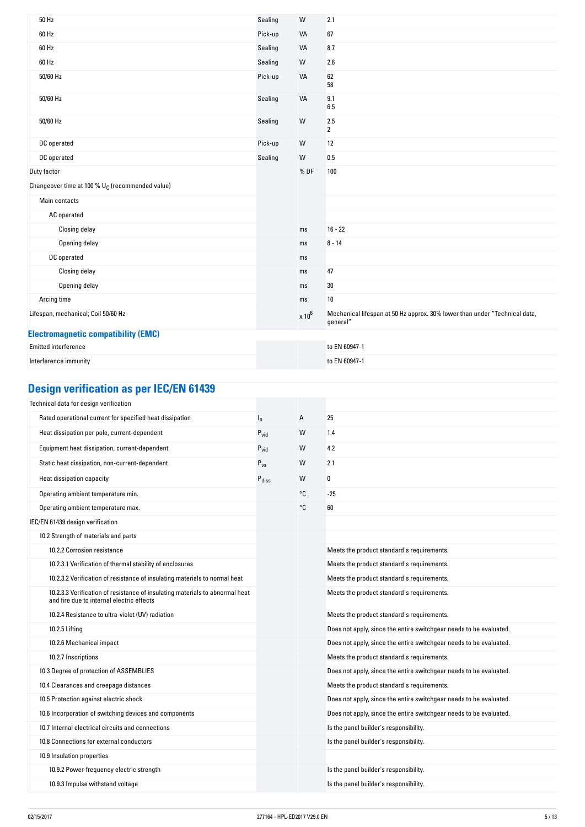| 50 Hz                                                       | Sealing | W             | 2.1                                                                                    |
|-------------------------------------------------------------|---------|---------------|----------------------------------------------------------------------------------------|
| 60 Hz                                                       | Pick-up | VA            | 67                                                                                     |
| 60 Hz                                                       | Sealing | VA            | 8.7                                                                                    |
| 60 Hz                                                       | Sealing | W             | 2.6                                                                                    |
| 50/60 Hz                                                    | Pick-up | VA            | 62<br>58                                                                               |
| 50/60 Hz                                                    | Sealing | VA            | 9.1<br>6.5                                                                             |
| 50/60 Hz                                                    | Sealing | W             | 2.5<br>$\overline{2}$                                                                  |
| DC operated                                                 | Pick-up | W             | 12                                                                                     |
| DC operated                                                 | Sealing | W             | 0.5                                                                                    |
| Duty factor                                                 |         | %DF           | 100                                                                                    |
| Changeover time at 100 % U <sub>C</sub> (recommended value) |         |               |                                                                                        |
| Main contacts                                               |         |               |                                                                                        |
| AC operated                                                 |         |               |                                                                                        |
| Closing delay                                               |         | ms            | $16 - 22$                                                                              |
| Opening delay                                               |         | ms            | $8 - 14$                                                                               |
| DC operated                                                 |         | ms            |                                                                                        |
| Closing delay                                               |         | ms            | 47                                                                                     |
| Opening delay                                               |         | ms            | 30                                                                                     |
| Arcing time                                                 |         | ms            | 10                                                                                     |
| Lifespan, mechanical; Coil 50/60 Hz                         |         | $\times 10^6$ | Mechanical lifespan at 50 Hz approx. 30% lower than under "Technical data,<br>general" |
| <b>Electromagnetic compatibility (EMC)</b>                  |         |               |                                                                                        |
| Emitted interference                                        |         |               | to EN 60947-1                                                                          |
| Interference immunity                                       |         |               | to EN 60947-1                                                                          |

### **Design-verification-as-per-IEC/EN-61439**

| Technical data for design verification                                                                                    |                   |    |                                                                    |
|---------------------------------------------------------------------------------------------------------------------------|-------------------|----|--------------------------------------------------------------------|
| Rated operational current for specified heat dissipation                                                                  | $I_{n}$           | А  | 25                                                                 |
| Heat dissipation per pole, current-dependent                                                                              | $P_{vid}$         | W  | 1.4                                                                |
| Equipment heat dissipation, current-dependent                                                                             | $P_{vid}$         | W  | 4.2                                                                |
| Static heat dissipation, non-current-dependent                                                                            | $P_{VS}$          | W  | 2.1                                                                |
| Heat dissipation capacity                                                                                                 | $P_{\text{diss}}$ | W  | 0                                                                  |
| Operating ambient temperature min.                                                                                        |                   | °C | $-25$                                                              |
| Operating ambient temperature max.                                                                                        |                   | °C | 60                                                                 |
| IEC/EN 61439 design verification                                                                                          |                   |    |                                                                    |
| 10.2 Strength of materials and parts                                                                                      |                   |    |                                                                    |
| 10.2.2 Corrosion resistance                                                                                               |                   |    | Meets the product standard's requirements.                         |
| 10.2.3.1 Verification of thermal stability of enclosures                                                                  |                   |    | Meets the product standard's requirements.                         |
| 10.2.3.2 Verification of resistance of insulating materials to normal heat                                                |                   |    | Meets the product standard's requirements.                         |
| 10.2.3.3 Verification of resistance of insulating materials to abnormal heat<br>and fire due to internal electric effects |                   |    | Meets the product standard's requirements.                         |
| 10.2.4 Resistance to ultra-violet (UV) radiation                                                                          |                   |    | Meets the product standard's requirements.                         |
| 10.2.5 Lifting                                                                                                            |                   |    | Does not apply, since the entire switchgear needs to be evaluated. |
| 10.2.6 Mechanical impact                                                                                                  |                   |    | Does not apply, since the entire switchgear needs to be evaluated. |
| 10.2.7 Inscriptions                                                                                                       |                   |    | Meets the product standard's requirements.                         |
| 10.3 Degree of protection of ASSEMBLIES                                                                                   |                   |    | Does not apply, since the entire switchgear needs to be evaluated. |
| 10.4 Clearances and creepage distances                                                                                    |                   |    | Meets the product standard's requirements.                         |
| 10.5 Protection against electric shock                                                                                    |                   |    | Does not apply, since the entire switchgear needs to be evaluated. |
| 10.6 Incorporation of switching devices and components                                                                    |                   |    | Does not apply, since the entire switchgear needs to be evaluated. |
| 10.7 Internal electrical circuits and connections                                                                         |                   |    | Is the panel builder's responsibility.                             |
| 10.8 Connections for external conductors                                                                                  |                   |    | Is the panel builder's responsibility.                             |
| 10.9 Insulation properties                                                                                                |                   |    |                                                                    |
| 10.9.2 Power-frequency electric strength                                                                                  |                   |    | Is the panel builder's responsibility.                             |
| 10.9.3 Impulse withstand voltage                                                                                          |                   |    | Is the panel builder's responsibility.                             |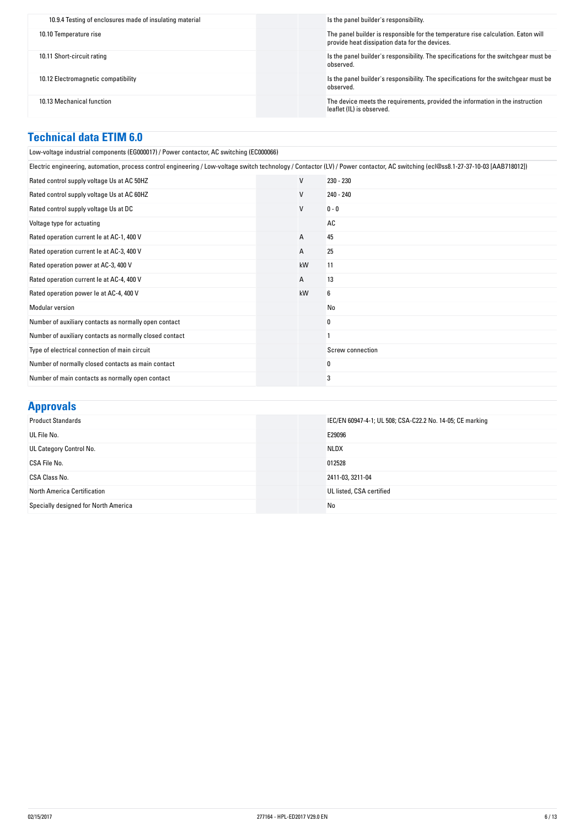| 10.9.4 Testing of enclosures made of insulating material | Is the panel builder's responsibility.                                                                                              |
|----------------------------------------------------------|-------------------------------------------------------------------------------------------------------------------------------------|
| 10.10 Temperature rise                                   | The panel builder is responsible for the temperature rise calculation. Eaton will<br>provide heat dissipation data for the devices. |
| 10.11 Short-circuit rating                               | Is the panel builder's responsibility. The specifications for the switchgear must be<br>observed.                                   |
| 10.12 Electromagnetic compatibility                      | Is the panel builder's responsibility. The specifications for the switchgear must be<br>observed.                                   |
| 10.13 Mechanical function                                | The device meets the requirements, provided the information in the instruction<br>leaflet (IL) is observed.                         |

#### **Technical-data-ETIM-6.0**

Low-voltage industrial components (EG000017) / Power contactor, AC switching (EC000066)

| Electric engineering, automation, process control engineering / Low-voltage switch technology / Contactor (LV) / Power contactor, AC switching (ecl@ss8.1-27-37-10-03 [AAB718012]) |              |                  |
|------------------------------------------------------------------------------------------------------------------------------------------------------------------------------------|--------------|------------------|
| Rated control supply voltage Us at AC 50HZ                                                                                                                                         | V            | 230 - 230        |
| Rated control supply voltage Us at AC 60HZ                                                                                                                                         | V            | 240 - 240        |
| Rated control supply voltage Us at DC                                                                                                                                              | V            | $0 - 0$          |
| Voltage type for actuating                                                                                                                                                         |              | AC               |
| Rated operation current le at AC-1, 400 V                                                                                                                                          | $\mathsf{A}$ | 45               |
| Rated operation current le at AC-3, 400 V                                                                                                                                          | A            | 25               |
| Rated operation power at AC-3, 400 V                                                                                                                                               | kW           | 11               |
| Rated operation current le at AC-4, 400 V                                                                                                                                          | $\mathsf{A}$ | 13               |
| Rated operation power le at AC-4, 400 V                                                                                                                                            | kW           | 6                |
| <b>Modular version</b>                                                                                                                                                             |              | No               |
| Number of auxiliary contacts as normally open contact                                                                                                                              |              | 0                |
| Number of auxiliary contacts as normally closed contact                                                                                                                            |              |                  |
| Type of electrical connection of main circuit                                                                                                                                      |              | Screw connection |
| Number of normally closed contacts as main contact                                                                                                                                 |              | 0                |
| Number of main contacts as normally open contact                                                                                                                                   |              | 3                |

### **Approvals**

| <b>Product Standards</b>             | IEC/EN 60947-4-1; UL 508; CSA-C22.2 No. 14-05; CE marking |
|--------------------------------------|-----------------------------------------------------------|
| UL File No.                          | E29096                                                    |
| UL Category Control No.              | <b>NLDX</b>                                               |
| CSA File No.                         | 012528                                                    |
| CSA Class No.                        | 2411-03, 3211-04                                          |
| North America Certification          | UL listed, CSA certified                                  |
| Specially designed for North America | No                                                        |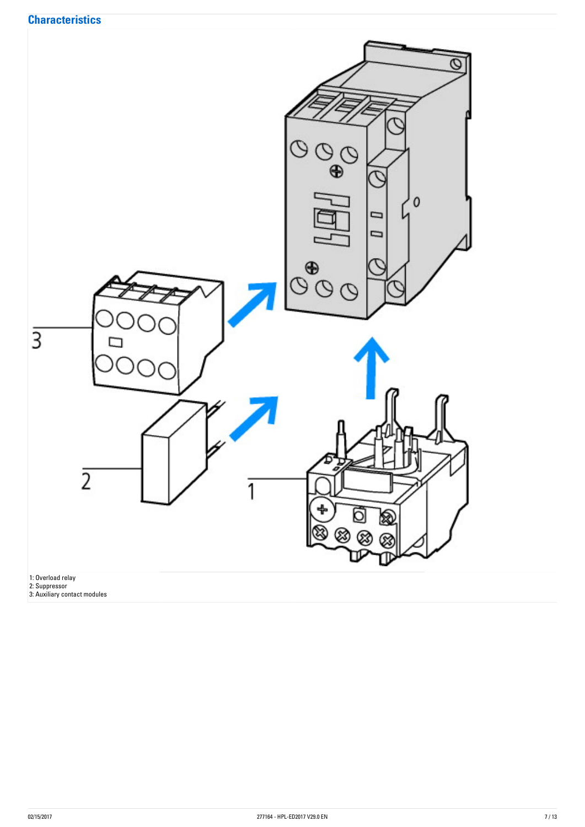

2: Suppressor 3: Auxiliary contact modules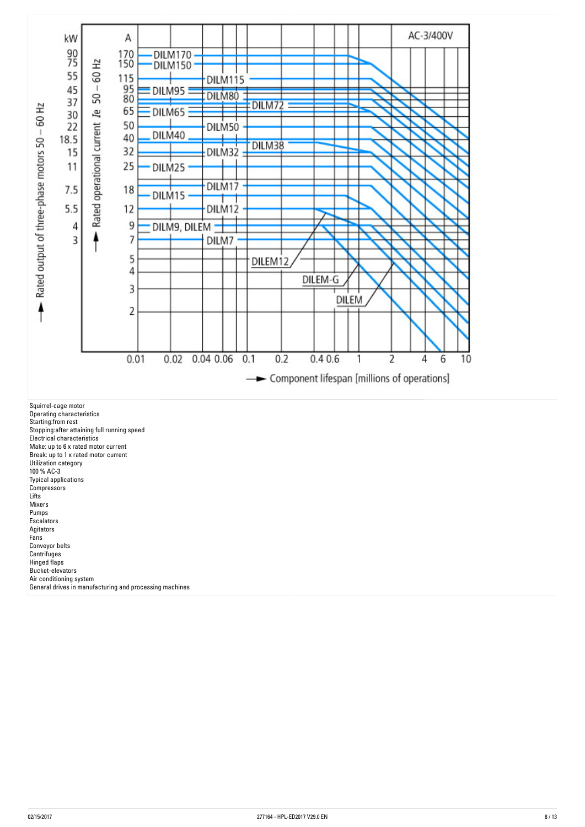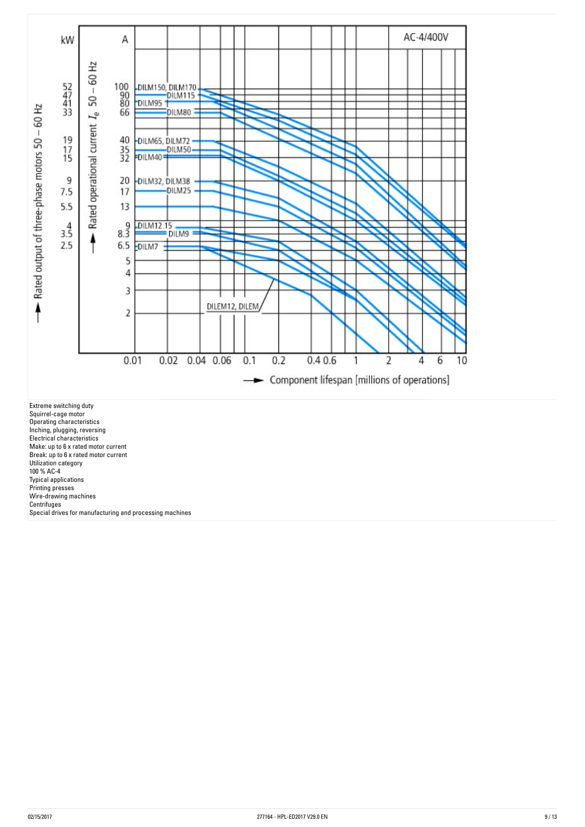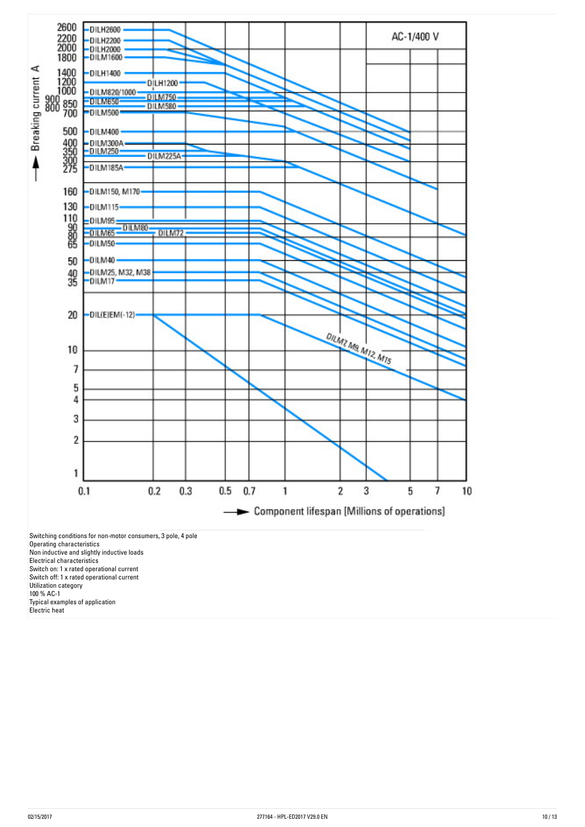

Typical examples of application

Electric heat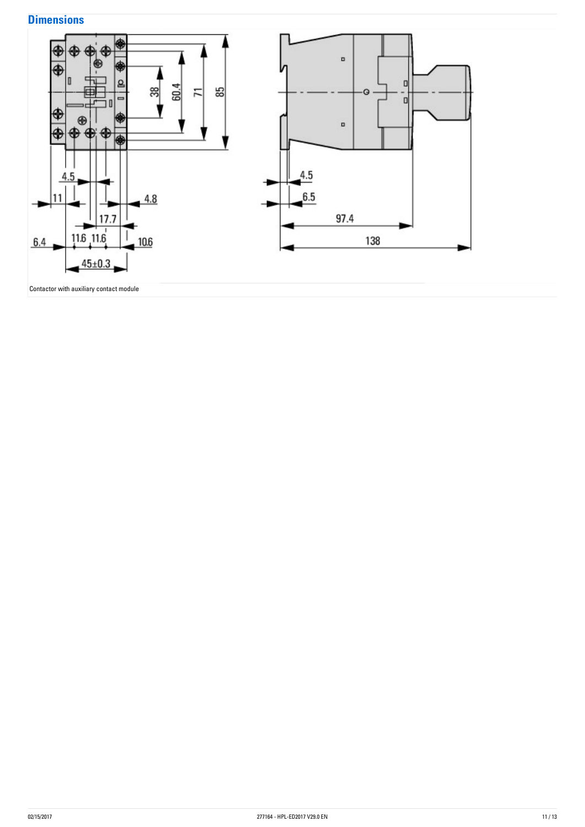### **Dimensions**

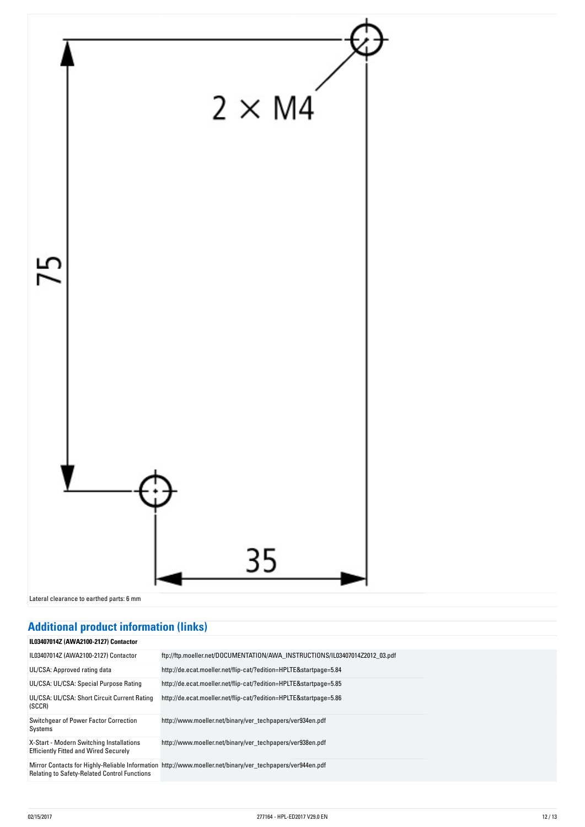

## **Additional-product-information-(links)**

| <b>IL03407014Z (AWA2100-2127) Contactor</b>                                              |                                                                                                           |
|------------------------------------------------------------------------------------------|-----------------------------------------------------------------------------------------------------------|
| IL03407014Z (AWA2100-2127) Contactor                                                     | ftp://ftp.moeller.net/DOCUMENTATION/AWA_INSTRUCTIONS/IL03407014Z2012_03.pdf                               |
| UL/CSA: Approved rating data                                                             | http://de.ecat.moeller.net/flip-cat/?edition=HPLTE&startpage=5.84                                         |
| UL/CSA: UL/CSA: Special Purpose Rating                                                   | http://de.ecat.moeller.net/flip-cat/?edition=HPLTE&startpage=5.85                                         |
| UL/CSA: UL/CSA: Short Circuit Current Rating<br>(SCCR)                                   | http://de.ecat.moeller.net/flip-cat/?edition=HPLTE&startpage=5.86                                         |
| Switchgear of Power Factor Correction<br>Systems                                         | http://www.moeller.net/binary/ver_techpapers/ver934en.pdf                                                 |
| X-Start - Modern Switching Installations<br><b>Efficiently Fitted and Wired Securely</b> | http://www.moeller.net/binary/ver_techpapers/ver938en.pdf                                                 |
| <b>Relating to Safety-Related Control Functions</b>                                      | Mirror Contacts for Highly-Reliable Information http://www.moeller.net/binary/ver techpapers/ver944en.pdf |